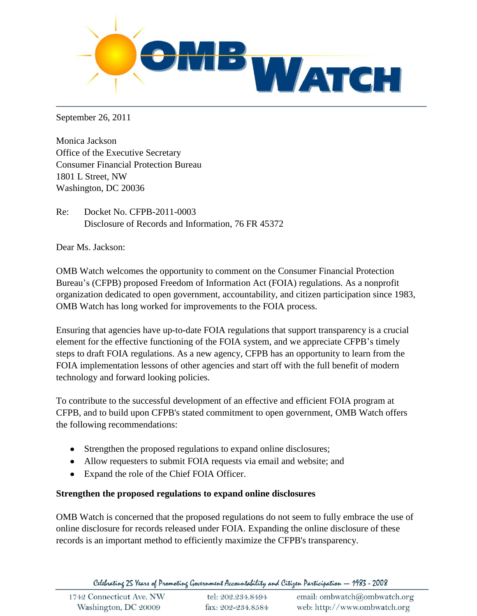

September 26, 2011

Monica Jackson Office of the Executive Secretary Consumer Financial Protection Bureau 1801 L Street, NW Washington, DC 20036

Re: Docket No. CFPB-2011-0003 Disclosure of Records and Information, 76 FR 45372

Dear Ms. Jackson:

OMB Watch welcomes the opportunity to comment on the Consumer Financial Protection Bureau's (CFPB) proposed Freedom of Information Act (FOIA) regulations. As a nonprofit organization dedicated to open government, accountability, and citizen participation since 1983, OMB Watch has long worked for improvements to the FOIA process.

Ensuring that agencies have up-to-date FOIA regulations that support transparency is a crucial element for the effective functioning of the FOIA system, and we appreciate CFPB's timely steps to draft FOIA regulations. As a new agency, CFPB has an opportunity to learn from the FOIA implementation lessons of other agencies and start off with the full benefit of modern technology and forward looking policies.

To contribute to the successful development of an effective and efficient FOIA program at CFPB, and to build upon CFPB's stated commitment to open government, OMB Watch offers the following recommendations:

- Strengthen the proposed regulations to expand online disclosures;
- Allow requesters to submit FOIA requests via email and website; and
- Expand the role of the Chief FOIA Officer.

## **Strengthen the proposed regulations to expand online disclosures**

OMB Watch is concerned that the proposed regulations do not seem to fully embrace the use of online disclosure for records released under FOIA. Expanding the online disclosure of these records is an important method to efficiently maximize the CFPB's transparency.

Celebrating 25 Years of Promoting Government Accountability and Citizen Participation - 1983 - 2008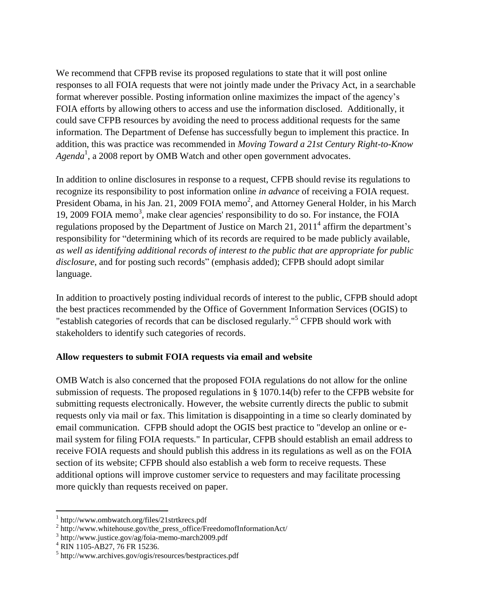We recommend that CFPB revise its proposed regulations to state that it will post online responses to all FOIA requests that were not jointly made under the Privacy Act, in a searchable format wherever possible. Posting information online maximizes the impact of the agency's FOIA efforts by allowing others to access and use the information disclosed. Additionally, it could save CFPB resources by avoiding the need to process additional requests for the same information. The Department of Defense has successfully begun to implement this practice. In addition, this was practice was recommended in *Moving Toward a 21st Century Right-to-Know Agenda*<sup>1</sup> , a 2008 report by OMB Watch and other open government advocates.

In addition to online disclosures in response to a request, CFPB should revise its regulations to recognize its responsibility to post information online *in advance* of receiving a FOIA request. President Obama, in his Jan. 21, 2009 FOIA memo<sup>2</sup>, and Attorney General Holder, in his March 19, 2009 FOIA memo<sup>3</sup>, make clear agencies' responsibility to do so. For instance, the FOIA regulations proposed by the Department of Justice on March 21, 2011<sup>4</sup> affirm the department's responsibility for "determining which of its records are required to be made publicly available, *as well as identifying additional records of interest to the public that are appropriate for public disclosure*, and for posting such records" (emphasis added); CFPB should adopt similar language.

In addition to proactively posting individual records of interest to the public, CFPB should adopt the best practices recommended by the Office of Government Information Services (OGIS) to "establish categories of records that can be disclosed regularly."<sup>5</sup> CFPB should work with stakeholders to identify such categories of records.

## **Allow requesters to submit FOIA requests via email and website**

OMB Watch is also concerned that the proposed FOIA regulations do not allow for the online submission of requests. The proposed regulations in § 1070.14(b) refer to the CFPB website for submitting requests electronically. However, the website currently directs the public to submit requests only via mail or fax. This limitation is disappointing in a time so clearly dominated by email communication. CFPB should adopt the OGIS best practice to "develop an online or email system for filing FOIA requests." In particular, CFPB should establish an email address to receive FOIA requests and should publish this address in its regulations as well as on the FOIA section of its website; CFPB should also establish a web form to receive requests. These additional options will improve customer service to requesters and may facilitate processing more quickly than requests received on paper.

 $\overline{a}$ 

<sup>1</sup> http://www.ombwatch.org/files/21strtkrecs.pdf

<sup>&</sup>lt;sup>2</sup> http://www.whitehouse.gov/the\_press\_office/FreedomofInformationAct/

<sup>3</sup> http://www.justice.gov/ag/foia-memo-march2009.pdf

<sup>4</sup> RIN 1105-AB27, 76 FR 15236.

<sup>&</sup>lt;sup>5</sup> http://www.archives.gov/ogis/resources/bestpractices.pdf